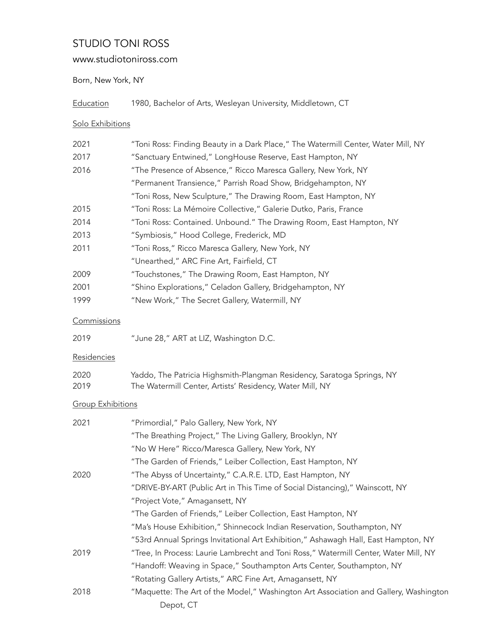# STUDIO TONI ROSS

## www.studiotoniross.com

### Born, New York, NY

| Education |  |  | 1980, Bachelor of Arts, Wesleyan University, Middletown, CT |  |
|-----------|--|--|-------------------------------------------------------------|--|
|           |  |  |                                                             |  |

### Solo Exhibitions

| 2021                     | "Toni Ross: Finding Beauty in a Dark Place," The Watermill Center, Water Mill, NY    |
|--------------------------|--------------------------------------------------------------------------------------|
| 2017                     | "Sanctuary Entwined," LongHouse Reserve, East Hampton, NY                            |
| 2016                     | "The Presence of Absence," Ricco Maresca Gallery, New York, NY                       |
|                          | "Permanent Transience," Parrish Road Show, Bridgehampton, NY                         |
|                          | "Toni Ross, New Sculpture," The Drawing Room, East Hampton, NY                       |
| 2015                     | "Toni Ross: La Mémoire Collective," Galerie Dutko, Paris, France                     |
| 2014                     | "Toni Ross: Contained. Unbound." The Drawing Room, East Hampton, NY                  |
| 2013                     | "Symbiosis," Hood College, Frederick, MD                                             |
| 2011                     | "Toni Ross," Ricco Maresca Gallery, New York, NY                                     |
|                          | "Unearthed," ARC Fine Art, Fairfield, CT                                             |
| 2009                     | "Touchstones," The Drawing Room, East Hampton, NY                                    |
| 2001                     | "Shino Explorations," Celadon Gallery, Bridgehampton, NY                             |
| 1999                     | "New Work," The Secret Gallery, Watermill, NY                                        |
| Commissions              |                                                                                      |
| 2019                     | "June 28," ART at LIZ, Washington D.C.                                               |
| Residencies              |                                                                                      |
| 2020                     | Yaddo, The Patricia Highsmith-Plangman Residency, Saratoga Springs, NY               |
| 2019                     | The Watermill Center, Artists' Residency, Water Mill, NY                             |
| <b>Group Exhibitions</b> |                                                                                      |
| 2021                     | "Primordial," Palo Gallery, New York, NY                                             |
|                          | "The Breathing Project," The Living Gallery, Brooklyn, NY                            |
|                          | "No W Here" Ricco/Maresca Gallery, New York, NY                                      |
|                          | "The Garden of Friends," Leiber Collection, East Hampton, NY                         |
| 2020                     | "The Abyss of Uncertainty," C.A.R.E. LTD, East Hampton, NY                           |
|                          | "DRIVE-BY-ART (Public Art in This Time of Social Distancing)," Wainscott, NY         |
|                          | "Project Vote," Amagansett, NY                                                       |
|                          | "The Garden of Friends," Leiber Collection, East Hampton, NY                         |
|                          | "Ma's House Exhibition," Shinnecock Indian Reservation, Southampton, NY              |
|                          | "53rd Annual Springs Invitational Art Exhibition," Ashawagh Hall, East Hampton, NY   |
| 2019                     | "Tree, In Process: Laurie Lambrecht and Toni Ross," Watermill Center, Water Mill, NY |
|                          | "Handoff: Weaving in Space," Southampton Arts Center, Southampton, NY                |
|                          | "Rotating Gallery Artists," ARC Fine Art, Amagansett, NY                             |
| 2018                     | "Maquette: The Art of the Model," Washington Art Association and Gallery, Washington |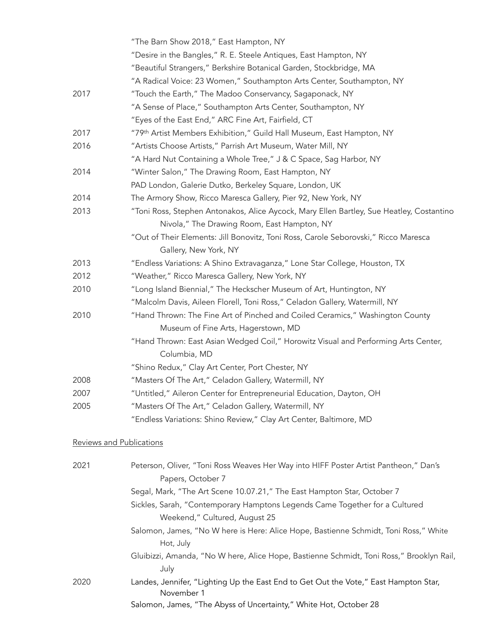|      | "The Barn Show 2018," East Hampton, NY                                                   |
|------|------------------------------------------------------------------------------------------|
|      | "Desire in the Bangles," R. E. Steele Antiques, East Hampton, NY                         |
|      | "Beautiful Strangers," Berkshire Botanical Garden, Stockbridge, MA                       |
|      | "A Radical Voice: 23 Women," Southampton Arts Center, Southampton, NY                    |
| 2017 | "Touch the Earth," The Madoo Conservancy, Sagaponack, NY                                 |
|      | "A Sense of Place," Southampton Arts Center, Southampton, NY                             |
|      | "Eyes of the East End," ARC Fine Art, Fairfield, CT                                      |
| 2017 | "79th Artist Members Exhibition," Guild Hall Museum, East Hampton, NY                    |
| 2016 | "Artists Choose Artists," Parrish Art Museum, Water Mill, NY                             |
|      | "A Hard Nut Containing a Whole Tree," J & C Space, Sag Harbor, NY                        |
| 2014 | "Winter Salon," The Drawing Room, East Hampton, NY                                       |
|      | PAD London, Galerie Dutko, Berkeley Square, London, UK                                   |
| 2014 | The Armory Show, Ricco Maresca Gallery, Pier 92, New York, NY                            |
| 2013 | "Toni Ross, Stephen Antonakos, Alice Aycock, Mary Ellen Bartley, Sue Heatley, Costantino |
|      | Nivola," The Drawing Room, East Hampton, NY                                              |
|      | "Out of Their Elements: Jill Bonovitz, Toni Ross, Carole Seborovski," Ricco Maresca      |
|      | Gallery, New York, NY                                                                    |
| 2013 | "Endless Variations: A Shino Extravaganza," Lone Star College, Houston, TX               |
| 2012 | "Weather," Ricco Maresca Gallery, New York, NY                                           |
| 2010 | "Long Island Biennial," The Heckscher Museum of Art, Huntington, NY                      |
|      | "Malcolm Davis, Aileen Florell, Toni Ross," Celadon Gallery, Watermill, NY               |
| 2010 | "Hand Thrown: The Fine Art of Pinched and Coiled Ceramics," Washington County            |
|      | Museum of Fine Arts, Hagerstown, MD                                                      |
|      | "Hand Thrown: East Asian Wedged Coil," Horowitz Visual and Performing Arts Center,       |
|      | Columbia, MD                                                                             |
|      | "Shino Redux," Clay Art Center, Port Chester, NY                                         |
| 2008 | "Masters Of The Art," Celadon Gallery, Watermill, NY                                     |
| 2007 | "Untitled," Aileron Center for Entrepreneurial Education, Dayton, OH                     |
| 2005 | "Masters Of The Art," Celadon Gallery, Watermill, NY                                     |
|      | "Endless Variations: Shino Review," Clay Art Center, Baltimore, MD                       |
|      |                                                                                          |

#### Reviews and Publications

| 2021 | Peterson, Oliver, "Toni Ross Weaves Her Way into HIFF Poster Artist Pantheon," Dan's<br>Papers, October 7 |
|------|-----------------------------------------------------------------------------------------------------------|
|      | Segal, Mark, "The Art Scene 10.07.21," The East Hampton Star, October 7                                   |
|      | Sickles, Sarah, "Contemporary Hamptons Legends Came Together for a Cultured                               |
|      | Weekend," Cultured, August 25                                                                             |
|      | Salomon, James, "No W here is Here: Alice Hope, Bastienne Schmidt, Toni Ross," White<br>Hot, July         |
|      | Gluibizzi, Amanda, "No W here, Alice Hope, Bastienne Schmidt, Toni Ross," Brooklyn Rail,<br>July          |
| 2020 | Landes, Jennifer, "Lighting Up the East End to Get Out the Vote," East Hampton Star,<br>November 1        |
|      | Salomon, James, "The Abyss of Uncertainty," White Hot, October 28                                         |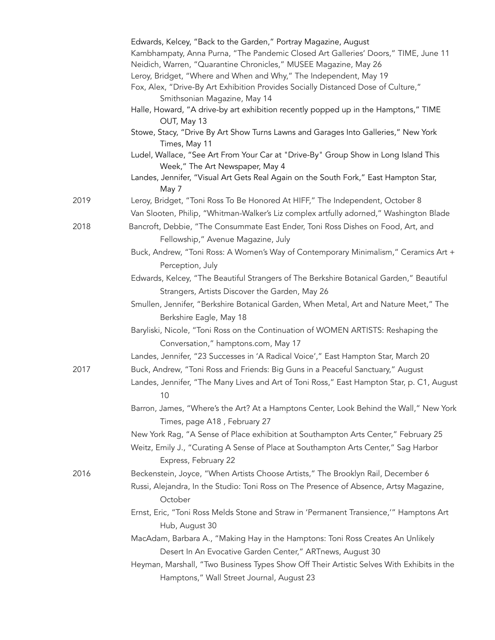|      | Edwards, Kelcey, "Back to the Garden," Portray Magazine, August                                                        |
|------|------------------------------------------------------------------------------------------------------------------------|
|      | Kambhampaty, Anna Purna, "The Pandemic Closed Art Galleries' Doors," TIME, June 11                                     |
|      | Neidich, Warren, "Quarantine Chronicles," MUSEE Magazine, May 26                                                       |
|      | Leroy, Bridget, "Where and When and Why," The Independent, May 19                                                      |
|      | Fox, Alex, "Drive-By Art Exhibition Provides Socially Distanced Dose of Culture,"                                      |
|      | Smithsonian Magazine, May 14                                                                                           |
|      | Halle, Howard, "A drive-by art exhibition recently popped up in the Hamptons," TIME<br>OUT, May 13                     |
|      | Stowe, Stacy, "Drive By Art Show Turns Lawns and Garages Into Galleries," New York<br>Times, May 11                    |
|      | Ludel, Wallace, "See Art From Your Car at "Drive-By" Group Show in Long Island This<br>Week," The Art Newspaper, May 4 |
|      | Landes, Jennifer, "Visual Art Gets Real Again on the South Fork," East Hampton Star,<br>May 7                          |
| 2019 | Leroy, Bridget, "Toni Ross To Be Honored At HIFF," The Independent, October 8                                          |
|      | Van Slooten, Philip, "Whitman-Walker's Liz complex artfully adorned," Washington Blade                                 |
| 2018 | Bancroft, Debbie, "The Consummate East Ender, Toni Ross Dishes on Food, Art, and                                       |
|      | Fellowship," Avenue Magazine, July                                                                                     |
|      | Buck, Andrew, "Toni Ross: A Women's Way of Contemporary Minimalism," Ceramics Art +                                    |
|      | Perception, July                                                                                                       |
|      | Edwards, Kelcey, "The Beautiful Strangers of The Berkshire Botanical Garden," Beautiful                                |
|      | Strangers, Artists Discover the Garden, May 26                                                                         |
|      | Smullen, Jennifer, "Berkshire Botanical Garden, When Metal, Art and Nature Meet," The                                  |
|      | Berkshire Eagle, May 18                                                                                                |
|      | Baryliski, Nicole, "Toni Ross on the Continuation of WOMEN ARTISTS: Reshaping the                                      |
|      | Conversation," hamptons.com, May 17                                                                                    |
|      | Landes, Jennifer, "23 Successes in 'A Radical Voice'," East Hampton Star, March 20                                     |
| 2017 | Buck, Andrew, "Toni Ross and Friends: Big Guns in a Peaceful Sanctuary," August                                        |
|      | Landes, Jennifer, "The Many Lives and Art of Toni Ross," East Hampton Star, p. C1, August                              |
|      |                                                                                                                        |
|      | 10                                                                                                                     |
|      | Barron, James, "Where's the Art? At a Hamptons Center, Look Behind the Wall," New York<br>Times, page A18, February 27 |
|      | New York Rag, "A Sense of Place exhibition at Southampton Arts Center," February 25                                    |
|      | Weitz, Emily J., "Curating A Sense of Place at Southampton Arts Center," Sag Harbor<br>Express, February 22            |
| 2016 | Beckenstein, Joyce, "When Artists Choose Artists," The Brooklyn Rail, December 6                                       |
|      |                                                                                                                        |
|      | Russi, Alejandra, In the Studio: Toni Ross on The Presence of Absence, Artsy Magazine,<br>October                      |
|      | Ernst, Eric, "Toni Ross Melds Stone and Straw in 'Permanent Transience,'" Hamptons Art<br>Hub, August 30               |
|      | MacAdam, Barbara A., "Making Hay in the Hamptons: Toni Ross Creates An Unlikely                                        |
|      | Desert In An Evocative Garden Center," ARTnews, August 30                                                              |
|      | Heyman, Marshall, "Two Business Types Show Off Their Artistic Selves With Exhibits in the                              |
|      | Hamptons," Wall Street Journal, August 23                                                                              |
|      |                                                                                                                        |